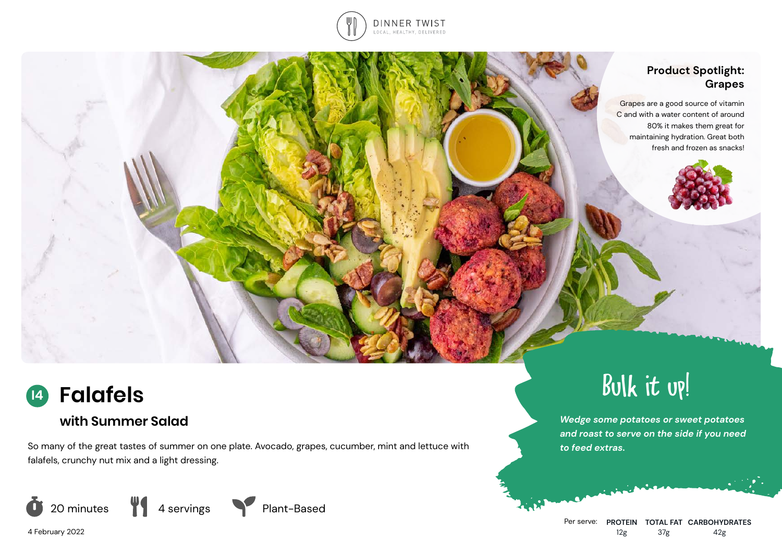

# **Product Spotlight: Grapes** Grapes are a good source of vitamin C and with a water content of around 80% it makes them great for maintaining hydration. Great both fresh and frozen as snacks!



# **with Summer Salad**

So many of the great tastes of summer on one plate. Avocado, grapes, cucumber, mint and lettuce with falafels, crunchy nut mix and a light dressing.







Bulk it up!

*Wedge some potatoes or sweet potatoes and roast to serve on the side if you need to feed extras.*

4 February 2022